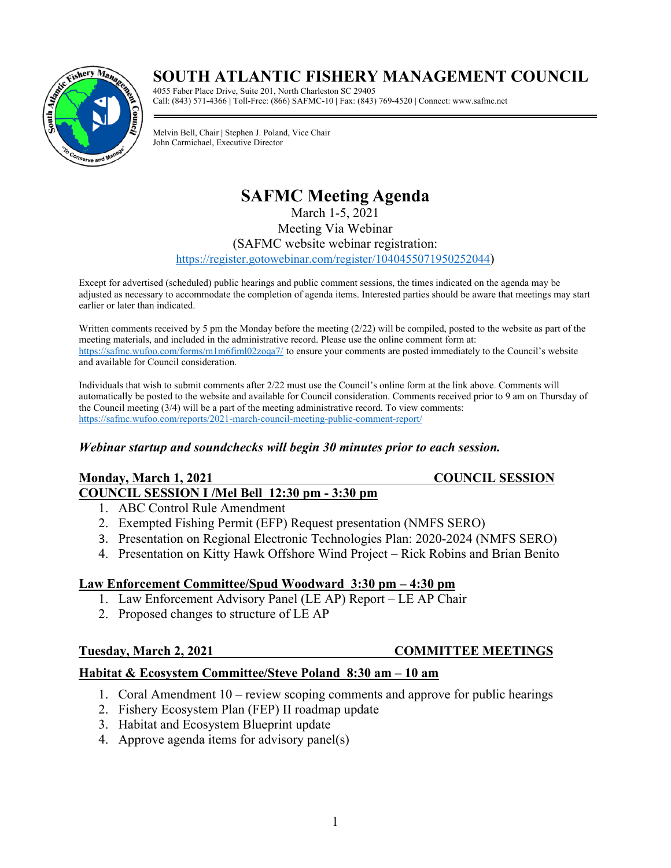# **SOUTH ATLANTIC FISHERY MANAGEMENT COUNCIL**



4055 Faber Place Drive, Suite 201, North Charleston SC 29405 Call: (843) 571-4366 **|** Toll-Free: (866) SAFMC-10 **|** Fax: (843) 769-4520 **|** Connect: www.safmc.net

Melvin Bell, Chair **|** Stephen J. Poland, Vice Chair John Carmichael, Executive Director

# **SAFMC Meeting Agenda**

March 1-5, 2021

Meeting Via Webinar

### (SAFMC website webinar registration:

[https://register.gotowebinar.com/register/1040455071950252044\)](https://register.gotowebinar.com/register/1040455071950252044)

Except for advertised (scheduled) public hearings and public comment sessions, the times indicated on the agenda may be adjusted as necessary to accommodate the completion of agenda items. Interested parties should be aware that meetings may start earlier or later than indicated.

Written comments received by 5 pm the Monday before the meeting (2/22) will be compiled, posted to the website as part of the meeting materials, and included in the administrative record. Please use the online comment form at: <https://safmc.wufoo.com/forms/m1m6fiml02zoqa7/> to ensure your comments are posted immediately to the Council's website and available for Council consideration.

Individuals that wish to submit comments after 2/22 must use the Council's online form at the link above. Comments will automatically be posted to the website and available for Council consideration. Comments received prior to 9 am on Thursday of the Council meeting (3/4) will be a part of the meeting administrative record. To view comments: <https://safmc.wufoo.com/reports/2021-march-council-meeting-public-comment-report/>

### *Webinar startup and soundchecks will begin 30 minutes prior to each session.*

### **Monday, March 1, 2021 COUNCIL SESSION COUNCIL SESSION I /Mel Bell 12:30 pm - 3:30 pm**

- 1. ABC Control Rule Amendment
- 2. Exempted Fishing Permit (EFP) Request presentation (NMFS SERO)
- 3. Presentation on Regional Electronic Technologies Plan: 2020-2024 (NMFS SERO)
- 4. Presentation on Kitty Hawk Offshore Wind Project Rick Robins and Brian Benito

### **Law Enforcement Committee/Spud Woodward 3:30 pm – 4:30 pm**

- 1. Law Enforcement Advisory Panel (LE AP) Report LE AP Chair
- 2. Proposed changes to structure of LE AP

### **Tuesday, March 2, 2021 COMMITTEE MEETINGS**

### **Habitat & Ecosystem Committee/Steve Poland 8:30 am – 10 am**

- 1. Coral Amendment 10 review scoping comments and approve for public hearings
- 2. Fishery Ecosystem Plan (FEP) II roadmap update
- 3. Habitat and Ecosystem Blueprint update
- 4. Approve agenda items for advisory panel(s)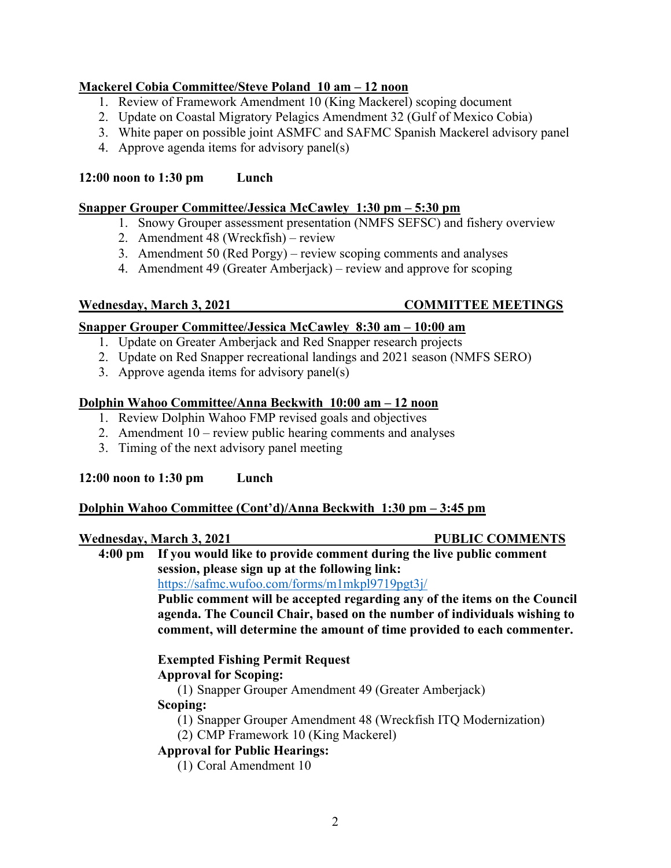### **Mackerel Cobia Committee/Steve Poland 10 am – 12 noon**

- 1. Review of Framework Amendment 10 (King Mackerel) scoping document
- 2. Update on Coastal Migratory Pelagics Amendment 32 (Gulf of Mexico Cobia)
- 3. White paper on possible joint ASMFC and SAFMC Spanish Mackerel advisory panel
- 4. Approve agenda items for advisory panel(s)

### **12:00 noon to 1:30 pm Lunch**

### **Snapper Grouper Committee/Jessica McCawley 1:30 pm – 5:30 pm**

- 1. Snowy Grouper assessment presentation (NMFS SEFSC) and fishery overview
- 2. Amendment 48 (Wreckfish) review
- 3. Amendment 50 (Red Porgy) review scoping comments and analyses
- 4. Amendment 49 (Greater Amberjack) review and approve for scoping

### **Wednesday, March 3, 2021 COMMITTEE MEETINGS**

### **Snapper Grouper Committee/Jessica McCawley 8:30 am – 10:00 am**

- 1. Update on Greater Amberjack and Red Snapper research projects
- 2. Update on Red Snapper recreational landings and 2021 season (NMFS SERO)
- 3. Approve agenda items for advisory panel(s)

### **Dolphin Wahoo Committee/Anna Beckwith 10:00 am – 12 noon**

- 1. Review Dolphin Wahoo FMP revised goals and objectives
- 2. Amendment 10 review public hearing comments and analyses
- 3. Timing of the next advisory panel meeting

### **12:00 noon to 1:30 pm Lunch**

### **Dolphin Wahoo Committee (Cont'd)/Anna Beckwith 1:30 pm – 3:45 pm**

### Wednesday, March 3, 2021 **PUBLIC COMMENTS**

# **4:00 pm If you would like to provide comment during the live public comment session, please sign up at the following link:**

<https://safmc.wufoo.com/forms/m1mkpl9719pgt3j/>

**Public comment will be accepted regarding any of the items on the Council agenda. The Council Chair, based on the number of individuals wishing to comment, will determine the amount of time provided to each commenter.**

# **Exempted Fishing Permit Request**

### **Approval for Scoping:**

(1) Snapper Grouper Amendment 49 (Greater Amberjack) **Scoping:**

# (1) Snapper Grouper Amendment 48 (Wreckfish ITQ Modernization)

(2) CMP Framework 10 (King Mackerel)

# **Approval for Public Hearings:**

(1) Coral Amendment 10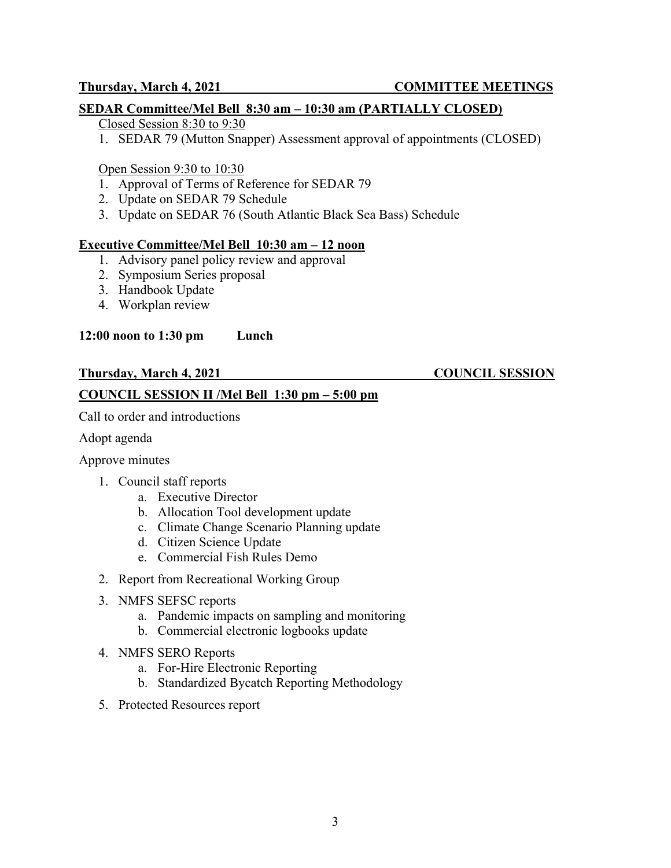### **SEDAR Committee/Mel Bell 8:30 am – 10:30 am (PARTIALLY CLOSED)**

### Closed Session 8:30 to 9:30

1. SEDAR 79 (Mutton Snapper) Assessment approval of appointments (CLOSED)

### Open Session 9:30 to 10:30

- 1. Approval of Terms of Reference for SEDAR 79
- 2. Update on SEDAR 79 Schedule
- 3. Update on SEDAR 76 (South Atlantic Black Sea Bass) Schedule

### **Executive Committee/Mel Bell 10:30 am – 12 noon**

- 1. Advisory panel policy review and approval
- 2. Symposium Series proposal
- 3. Handbook Update
- 4. Workplan review

### **12:00 noon to 1:30 pm Lunch**

### **Thursday, March 4, 2021 COUNCIL SESSION**

### **COUNCIL SESSION II /Mel Bell 1:30 pm – 5:00 pm**

Call to order and introductions

Adopt agenda

### Approve minutes

- 1. Council staff reports
	- a. Executive Director
	- b. Allocation Tool development update
	- c. Climate Change Scenario Planning update
	- d. Citizen Science Update
	- e. Commercial Fish Rules Demo
- 2. Report from Recreational Working Group
- 3. NMFS SEFSC reports
	- a. Pandemic impacts on sampling and monitoring
	- b. Commercial electronic logbooks update
- 4. NMFS SERO Reports
	- a. For-Hire Electronic Reporting
	- b. Standardized Bycatch Reporting Methodology
- 5. Protected Resources report